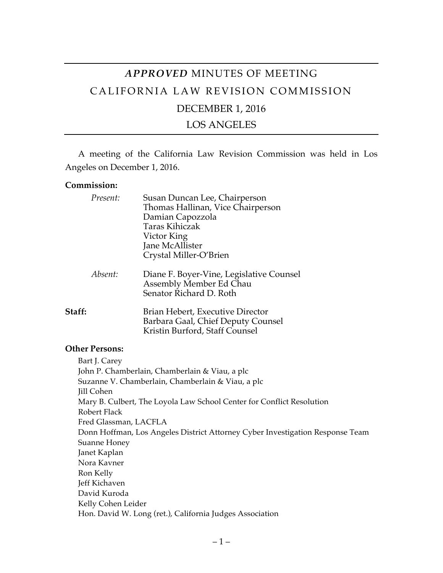# *APPROVED* MINUTES OF MEETING CALIFORNIA LAW REVISION COMMISSION

# DECEMBER 1, 2016

### LOS ANGELES

A meeting of the California Law Revision Commission was held in Los Angeles on December 1, 2016.

#### **Commission:**

|        | Present: | Susan Duncan Lee, Chairperson<br>Thomas Hallinan, Vice Chairperson<br>Damian Capozzola<br>Taras Kihiczak<br>Victor King<br>Jane McAllister<br>Crystal Miller-O'Brien |
|--------|----------|----------------------------------------------------------------------------------------------------------------------------------------------------------------------|
|        | Absent:  | Diane F. Boyer-Vine, Legislative Counsel<br>Assembly Member Ed Chau<br>Senator Richard D. Roth                                                                       |
| Staff: |          | Brian Hebert, Executive Director<br>Barbara Gaal, Chief Deputy Counsel<br>Kristin Burford, Staff Counsel                                                             |

#### **Other Persons:**

Bart J. Carey John P. Chamberlain, Chamberlain & Viau, a plc Suzanne V. Chamberlain, Chamberlain & Viau, a plc Jill Cohen Mary B. Culbert, The Loyola Law School Center for Conflict Resolution Robert Flack Fred Glassman, LACFLA Donn Hoffman, Los Angeles District Attorney Cyber Investigation Response Team Suanne Honey Janet Kaplan Nora Kavner Ron Kelly Jeff Kichaven David Kuroda Kelly Cohen Leider Hon. David W. Long (ret.), California Judges Association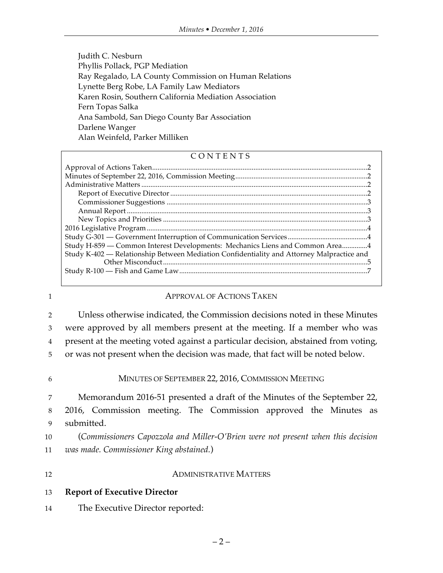Judith C. Nesburn Phyllis Pollack, PGP Mediation Ray Regalado, LA County Commission on Human Relations Lynette Berg Robe, LA Family Law Mediators Karen Rosin, Southern California Mediation Association Fern Topas Salka Ana Sambold, San Diego County Bar Association Darlene Wanger Alan Weinfeld, Parker Milliken

#### CONTENTS

| Study H-859 - Common Interest Developments: Mechanics Liens and Common Area4              |  |
|-------------------------------------------------------------------------------------------|--|
| Study K-402 - Relationship Between Mediation Confidentiality and Attorney Malpractice and |  |
|                                                                                           |  |
|                                                                                           |  |
|                                                                                           |  |

#### 1 **APPROVAL OF ACTIONS TAKEN**

 Unless otherwise indicated, the Commission decisions noted in these Minutes were approved by all members present at the meeting. If a member who was present at the meeting voted against a particular decision, abstained from voting, or was not present when the decision was made, that fact will be noted below.

#### 6 MINUTES OF SEPTEMBER 22, 2016, COMMISSION MEETING

7 Memorandum 2016-51 presented a draft of the Minutes of the September 22, 8 2016, Commission meeting. The Commission approved the Minutes as 9 submitted.

10 (*Commissioners Capozzola and Miller-O'Brien were not present when this decision*  11 *was made. Commissioner King abstained.*)

12 ADMINISTRATIVE MATTERS

|  | 13 | <b>Report of Executive Director</b> |
|--|----|-------------------------------------|
|--|----|-------------------------------------|

14 The Executive Director reported: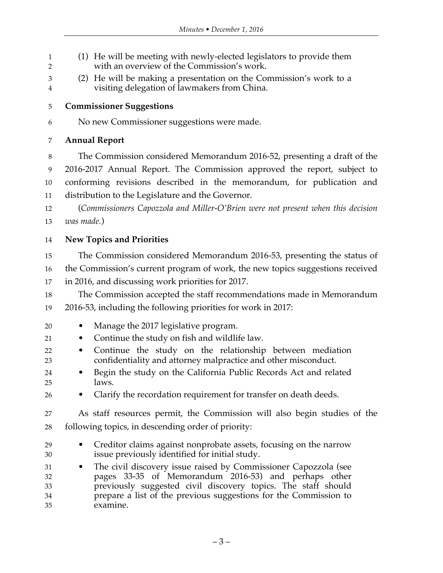- (1) He will be meeting with newly-elected legislators to provide them with an overview of the Commission's work.
- (2) He will be making a presentation on the Commission's work to a visiting delegation of lawmakers from China.
- **Commissioner Suggestions**
- No new Commissioner suggestions were made.

#### **Annual Report**

 The Commission considered Memorandum 2016-52, presenting a draft of the 2016-2017 Annual Report. The Commission approved the report, subject to conforming revisions described in the memorandum, for publication and distribution to the Legislature and the Governor.

 (*Commissioners Capozzola and Miller-O'Brien were not present when this decision was made.*)

### **New Topics and Priorities**

- The Commission considered Memorandum 2016-53, presenting the status of the Commission's current program of work, the new topics suggestions received in 2016, and discussing work priorities for 2017.
- The Commission accepted the staff recommendations made in Memorandum 2016-53, including the following priorities for work in 2017:
- Manage the 2017 legislative program.
- Continue the study on fish and wildlife law.
- Continue the study on the relationship between mediation confidentiality and attorney malpractice and other misconduct.
- Begin the study on the California Public Records Act and related laws.
- Clarify the recordation requirement for transfer on death deeds.

 As staff resources permit, the Commission will also begin studies of the following topics, in descending order of priority:

- Creditor claims against nonprobate assets, focusing on the narrow issue previously identified for initial study.
- The civil discovery issue raised by Commissioner Capozzola (see pages 33-35 of Memorandum 2016-53) and perhaps other previously suggested civil discovery topics. The staff should prepare a list of the previous suggestions for the Commission to examine.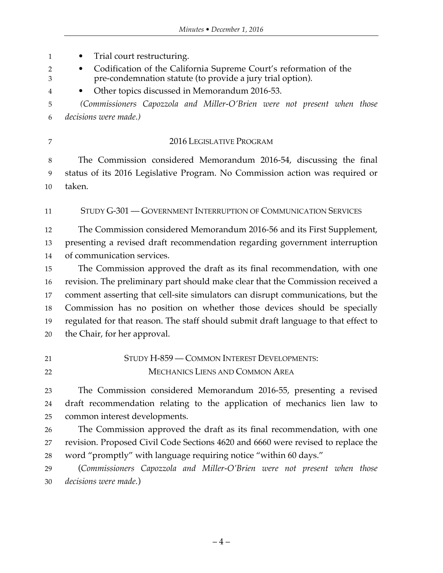• Trial court restructuring. • Codification of the California Supreme Court's reformation of the pre-condemnation statute (to provide a jury trial option). • Other topics discussed in Memorandum 2016-53. *(Commissioners Capozzola and Miller-O'Brien were not present when those decisions were made.)* 2016 LEGISLATIVE PROGRAM The Commission considered Memorandum 2016-54, discussing the final status of its 2016 Legislative Program. No Commission action was required or taken. STUDY G-301 — GOVERNMENT INTERRUPTION OF COMMUNICATION SERVICES The Commission considered Memorandum 2016-56 and its First Supplement, presenting a revised draft recommendation regarding government interruption of communication services. The Commission approved the draft as its final recommendation, with one revision. The preliminary part should make clear that the Commission received a comment asserting that cell-site simulators can disrupt communications, but the Commission has no position on whether those devices should be specially regulated for that reason. The staff should submit draft language to that effect to the Chair, for her approval. STUDY H-859 — COMMON INTEREST DEVELOPMENTS: MECHANICS LIENS AND COMMON AREA The Commission considered Memorandum 2016-55, presenting a revised draft recommendation relating to the application of mechanics lien law to common interest developments. The Commission approved the draft as its final recommendation, with one revision. Proposed Civil Code Sections 4620 and 6660 were revised to replace the word "promptly" with language requiring notice "within 60 days." (*Commissioners Capozzola and Miller-O'Brien were not present when those decisions were made.*)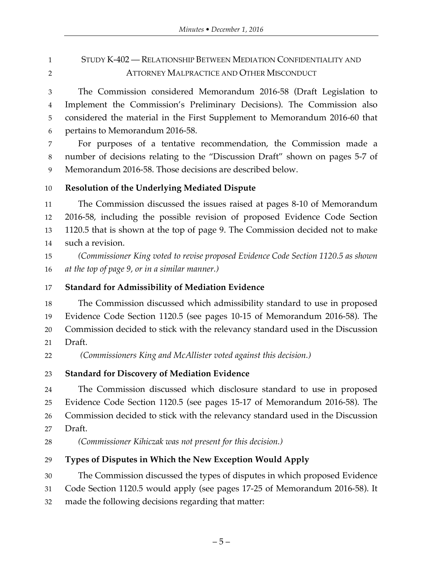# STUDY K-402 — RELATIONSHIP BETWEEN MEDIATION CONFIDENTIALITY AND ATTORNEY MALPRACTICE AND OTHER MISCONDUCT

 The Commission considered Memorandum 2016-58 (Draft Legislation to Implement the Commission's Preliminary Decisions). The Commission also considered the material in the First Supplement to Memorandum 2016-60 that pertains to Memorandum 2016-58.

 For purposes of a tentative recommendation, the Commission made a number of decisions relating to the "Discussion Draft" shown on pages 5-7 of Memorandum 2016-58. Those decisions are described below.

**Resolution of the Underlying Mediated Dispute**

 The Commission discussed the issues raised at pages 8-10 of Memorandum 2016-58, including the possible revision of proposed Evidence Code Section 1120.5 that is shown at the top of page 9. The Commission decided not to make such a revision.

 *(Commissioner King voted to revise proposed Evidence Code Section 1120.5 as shown at the top of page 9, or in a similar manner.)*

## **Standard for Admissibility of Mediation Evidence**

 The Commission discussed which admissibility standard to use in proposed Evidence Code Section 1120.5 (see pages 10-15 of Memorandum 2016-58). The Commission decided to stick with the relevancy standard used in the Discussion Draft.

*(Commissioners King and McAllister voted against this decision.)*

### **Standard for Discovery of Mediation Evidence**

 The Commission discussed which disclosure standard to use in proposed Evidence Code Section 1120.5 (see pages 15-17 of Memorandum 2016-58). The Commission decided to stick with the relevancy standard used in the Discussion Draft.

# **Types of Disputes in Which the New Exception Would Apply**

The Commission discussed the types of disputes in which proposed Evidence

Code Section 1120.5 would apply (see pages 17-25 of Memorandum 2016-58). It

made the following decisions regarding that matter:

*(Commissioner Kihiczak was not present for this decision.)*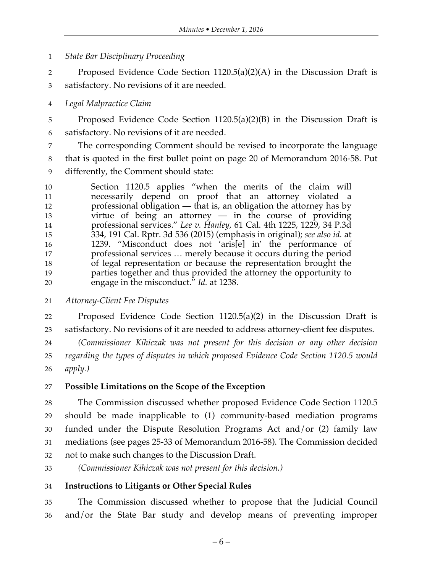*State Bar Disciplinary Proceeding*

 Proposed Evidence Code Section 1120.5(a)(2)(A) in the Discussion Draft is satisfactory. No revisions of it are needed.

*Legal Malpractice Claim*

 Proposed Evidence Code Section 1120.5(a)(2)(B) in the Discussion Draft is satisfactory. No revisions of it are needed.

 The corresponding Comment should be revised to incorporate the language that is quoted in the first bullet point on page 20 of Memorandum 2016-58. Put differently, the Comment should state:

 Section 1120.5 applies "when the merits of the claim will necessarily depend on proof that an attorney violated a professional obligation — that is, an obligation the attorney has by virtue of being an attorney — in the course of providing professional services." *Lee v. Hanley,* 61 Cal. 4th 1225, 1229, 34 P.3d 334, 191 Cal. Rptr. 3d 536 (2015) (emphasis in original); *see also id.* at 1239. "Misconduct does not 'aris[e] in' the performance of professional services … merely because it occurs during the period of legal representation or because the representation brought the parties together and thus provided the attorney the opportunity to engage in the misconduct." *Id.* at 1238.

*Attorney-Client Fee Disputes*

 Proposed Evidence Code Section 1120.5(a)(2) in the Discussion Draft is satisfactory. No revisions of it are needed to address attorney-client fee disputes.

 *(Commissioner Kihiczak was not present for this decision or any other decision regarding the types of disputes in which proposed Evidence Code Section 1120.5 would apply.)*

# **Possible Limitations on the Scope of the Exception**

 The Commission discussed whether proposed Evidence Code Section 1120.5 should be made inapplicable to (1) community-based mediation programs funded under the Dispute Resolution Programs Act and/or (2) family law mediations (see pages 25-33 of Memorandum 2016-58). The Commission decided not to make such changes to the Discussion Draft.

*(Commissioner Kihiczak was not present for this decision.)*

### **Instructions to Litigants or Other Special Rules**

 The Commission discussed whether to propose that the Judicial Council and/or the State Bar study and develop means of preventing improper